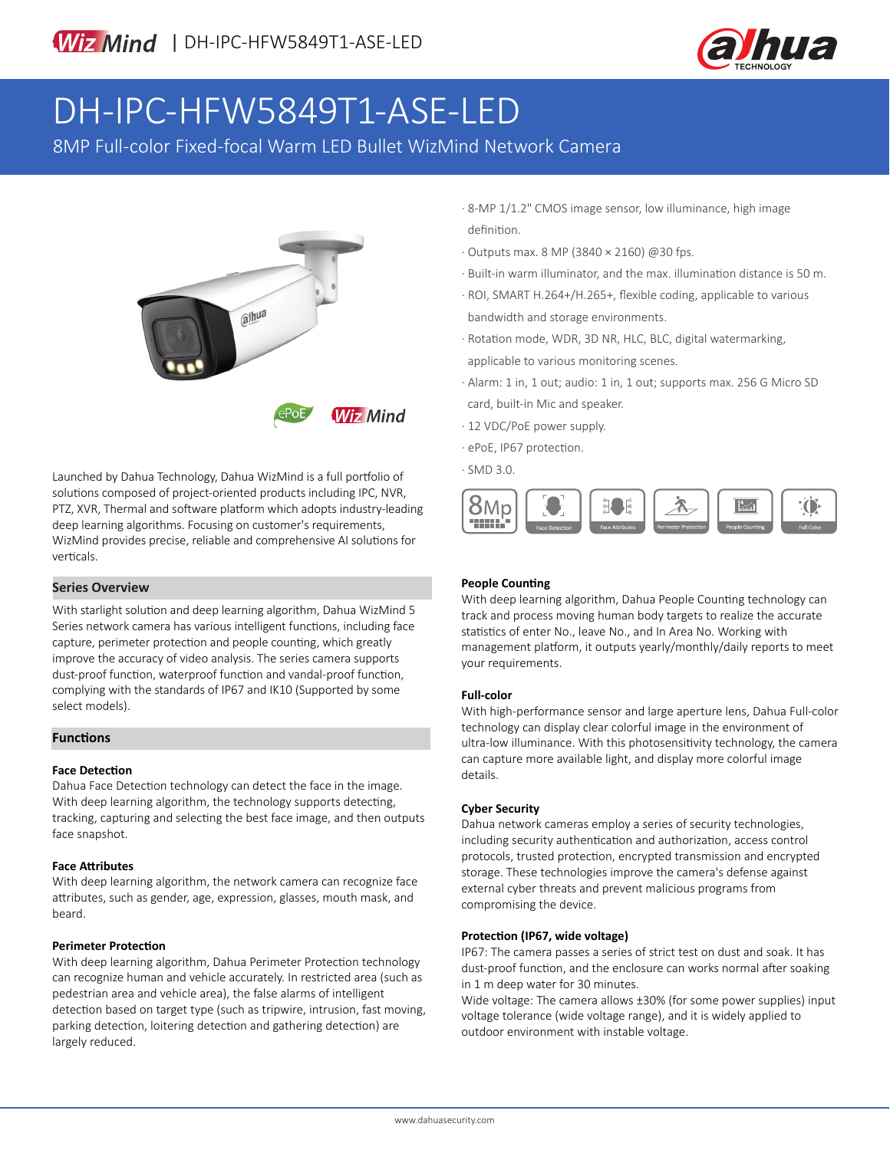

# DH-IPC-HFW5849T1-ASE-LED

8MP Full-color Fixed-focal Warm LED Bullet WizMind Network Camera



Launched by Dahua Technology, Dahua WizMind is a full portfolio of solutions composed of project-oriented products including IPC, NVR, PTZ, XVR, Thermal and software platform which adopts industry-leading deep learning algorithms. Focusing on customer's requirements, WizMind provides precise, reliable and comprehensive AI solutions for verticals.

#### **Series Overview**

With starlight solution and deep learning algorithm, Dahua WizMind 5 Series network camera has various intelligent functions, including face capture, perimeter protection and people counting, which greatly improve the accuracy of video analysis. The series camera supports dust-proof function, waterproof function and vandal-proof function, complying with the standards of IP67 and IK10 (Supported by some select models).

#### **Functions**

#### **Face Detection**

Dahua Face Detection technology can detect the face in the image. With deep learning algorithm, the technology supports detecting, tracking, capturing and selecting the best face image, and then outputs face snapshot.

#### **Face Attributes**

With deep learning algorithm, the network camera can recognize face attributes, such as gender, age, expression, glasses, mouth mask, and beard.

#### **Perimeter Protection**

With deep learning algorithm, Dahua Perimeter Protection technology can recognize human and vehicle accurately. In restricted area (such as pedestrian area and vehicle area), the false alarms of intelligent detection based on target type (such as tripwire, intrusion, fast moving, parking detection, loitering detection and gathering detection) are largely reduced.

- · 8-MP 1/1.2" CMOS image sensor, low illuminance, high image definition.
- · Outputs max. 8 MP (3840 × 2160) @30 fps.
- · Built-in warm illuminator, and the max. illumination distance is 50 m.
- · ROI, SMART H.264+/H.265+, flexible coding, applicable to various bandwidth and storage environments.
- · Rotation mode, WDR, 3D NR, HLC, BLC, digital watermarking, applicable to various monitoring scenes.
- · Alarm: 1 in, 1 out; audio: 1 in, 1 out; supports max. 256 G Micro SD card, built-in Mic and speaker.
- · 12 VDC/PoE power supply.
- · ePoE, IP67 protection.
- · SMD 3.0.



#### **People Counting**

With deep learning algorithm, Dahua People Counting technology can track and process moving human body targets to realize the accurate statistics of enter No., leave No., and In Area No. Working with management platform, it outputs yearly/monthly/daily reports to meet your requirements.

#### **Full-color**

With high-performance sensor and large aperture lens, Dahua Full-color technology can display clear colorful image in the environment of ultra-low illuminance. With this photosensitivity technology, the camera can capture more available light, and display more colorful image details.

#### **Cyber Security**

Dahua network cameras employ a series of security technologies, including security authentication and authorization, access control protocols, trusted protection, encrypted transmission and encrypted storage. These technologies improve the camera's defense against external cyber threats and prevent malicious programs from compromising the device.

#### **Protection (IP67, wide voltage)**

IP67: The camera passes a series of strict test on dust and soak. It has dust-proof function, and the enclosure can works normal after soaking in 1 m deep water for 30 minutes.

Wide voltage: The camera allows ±30% (for some power supplies) input voltage tolerance (wide voltage range), and it is widely applied to outdoor environment with instable voltage.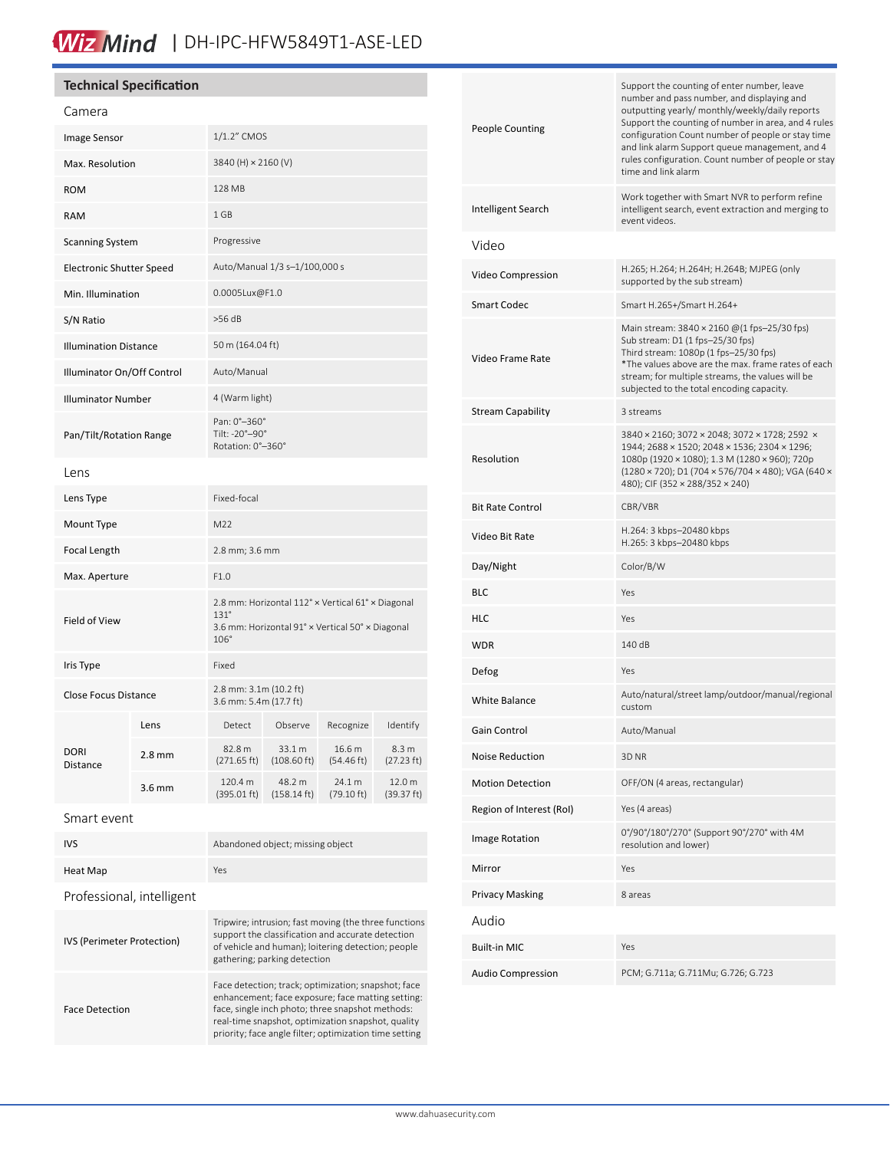# Wiz Mind | DH-IPC-HFW5849T1-ASE-LED

## **Technical Specification**

| Camera                       |          |                                                                                                                              |                                 |                                |                      |
|------------------------------|----------|------------------------------------------------------------------------------------------------------------------------------|---------------------------------|--------------------------------|----------------------|
| Image Sensor                 |          | 1/1.2" CMOS                                                                                                                  |                                 |                                |                      |
| Max. Resolution              |          | 3840 (H) × 2160 (V)                                                                                                          |                                 |                                |                      |
| <b>ROM</b>                   |          | 128 MB                                                                                                                       |                                 |                                |                      |
| <b>RAM</b>                   |          | 1 GB                                                                                                                         |                                 |                                |                      |
| <b>Scanning System</b>       |          | Progressive                                                                                                                  |                                 |                                |                      |
| Electronic Shutter Speed     |          | Auto/Manual 1/3 s-1/100,000 s                                                                                                |                                 |                                |                      |
| Min. Illumination            |          | 0.0005Lux@F1.0                                                                                                               |                                 |                                |                      |
| S/N Ratio                    |          | $>56$ dB                                                                                                                     |                                 |                                |                      |
| <b>Illumination Distance</b> |          | 50 m (164.04 ft)                                                                                                             |                                 |                                |                      |
| Illuminator On/Off Control   |          | Auto/Manual                                                                                                                  |                                 |                                |                      |
| <b>Illuminator Number</b>    |          | 4 (Warm light)                                                                                                               |                                 |                                |                      |
| Pan/Tilt/Rotation Range      |          | Pan: 0°-360°<br>Tilt: -20°-90°<br>Rotation: 0°-360°                                                                          |                                 |                                |                      |
| Lens                         |          |                                                                                                                              |                                 |                                |                      |
| Lens Type                    |          | Fixed-focal                                                                                                                  |                                 |                                |                      |
| Mount Type                   |          | M22                                                                                                                          |                                 |                                |                      |
| Focal Length                 |          | 2.8 mm; 3.6 mm                                                                                                               |                                 |                                |                      |
| Max. Aperture                |          | F1.0                                                                                                                         |                                 |                                |                      |
| Field of View                |          | 2.8 mm: Horizontal 112° x Vertical 61° x Diagonal<br>$131^\circ$<br>3.6 mm: Horizontal 91° x Vertical 50° x Diagonal<br>106° |                                 |                                |                      |
| Iris Type                    |          | Fixed                                                                                                                        |                                 |                                |                      |
| <b>Close Focus Distance</b>  |          | 2.8 mm: 3.1m (10.2 ft)<br>3.6 mm: 5.4m (17.7 ft)                                                                             |                                 |                                |                      |
| <b>DORI</b><br>Distance      | Lens     | Detect                                                                                                                       | Observe                         | Recognize                      | Identify             |
|                              | $2.8$ mm | 82.8 m<br>$(271.65 \text{ ft})$                                                                                              | 33.1 m<br>$(108.60 \text{ ft})$ | 16.6 m<br>$(54.46 \text{ ft})$ | 8.3 m<br>(27.23 ft)  |
|                              | $3.6$ mm | 120.4 m<br>(395.01 ft)                                                                                                       | 48.2 m<br>$(158.14 \text{ ft})$ | 24.1 m<br>$(79.10 \text{ ft})$ | 12.0 m<br>(39.37 ft) |
| Smart event                  |          |                                                                                                                              |                                 |                                |                      |

| <b>IVS</b>                 | Abandoned object; missing object                                                                                                                                                                                                                                             |  |  |
|----------------------------|------------------------------------------------------------------------------------------------------------------------------------------------------------------------------------------------------------------------------------------------------------------------------|--|--|
| Heat Map                   | Yes                                                                                                                                                                                                                                                                          |  |  |
| Professional, intelligent  |                                                                                                                                                                                                                                                                              |  |  |
| IVS (Perimeter Protection) | Tripwire; intrusion; fast moving (the three functions<br>support the classification and accurate detection<br>of vehicle and human); loitering detection; people<br>gathering; parking detection                                                                             |  |  |
| <b>Face Detection</b>      | Face detection; track; optimization; snapshot; face<br>enhancement; face exposure; face matting setting:<br>face, single inch photo; three snapshot methods:<br>real-time snapshot, optimization snapshot, quality<br>priority; face angle filter; optimization time setting |  |  |

| <b>People Counting</b>   | Support the counting of enter number, leave<br>number and pass number, and displaying and<br>outputting yearly/ monthly/weekly/daily reports<br>Support the counting of number in area, and 4 rules<br>configuration Count number of people or stay time<br>and link alarm Support queue management, and 4<br>rules configuration. Count number of people or stay<br>time and link alarm |
|--------------------------|------------------------------------------------------------------------------------------------------------------------------------------------------------------------------------------------------------------------------------------------------------------------------------------------------------------------------------------------------------------------------------------|
| Intelligent Search       | Work together with Smart NVR to perform refine<br>intelligent search, event extraction and merging to<br>event videos.                                                                                                                                                                                                                                                                   |
| Video                    |                                                                                                                                                                                                                                                                                                                                                                                          |
| Video Compression        | H.265; H.264; H.264H; H.264B; MJPEG (only<br>supported by the sub stream)                                                                                                                                                                                                                                                                                                                |
| <b>Smart Codec</b>       | Smart H.265+/Smart H.264+                                                                                                                                                                                                                                                                                                                                                                |
| Video Frame Rate         | Main stream: 3840 × 2160 @(1 fps-25/30 fps)<br>Sub stream: D1 (1 fps-25/30 fps)<br>Third stream: 1080p (1 fps-25/30 fps)<br>*The values above are the max. frame rates of each<br>stream; for multiple streams, the values will be<br>subjected to the total encoding capacity.                                                                                                          |
| <b>Stream Capability</b> | 3 streams                                                                                                                                                                                                                                                                                                                                                                                |
| Resolution               | 3840 × 2160; 3072 × 2048; 3072 × 1728; 2592 ×<br>1944; 2688 × 1520; 2048 × 1536; 2304 × 1296;<br>1080p (1920 × 1080); 1.3 M (1280 × 960); 720p<br>(1280 × 720); D1 (704 × 576/704 × 480); VGA (640 ×<br>480); CIF (352 × 288/352 × 240)                                                                                                                                                  |
| <b>Bit Rate Control</b>  | CBR/VBR                                                                                                                                                                                                                                                                                                                                                                                  |
| Video Bit Rate           | H.264: 3 kbps-20480 kbps<br>H.265: 3 kbps-20480 kbps                                                                                                                                                                                                                                                                                                                                     |
| Day/Night                | Color/B/W                                                                                                                                                                                                                                                                                                                                                                                |
| <b>BLC</b>               | Yes                                                                                                                                                                                                                                                                                                                                                                                      |
| <b>HLC</b>               | Yes                                                                                                                                                                                                                                                                                                                                                                                      |
| <b>WDR</b>               | 140 dB                                                                                                                                                                                                                                                                                                                                                                                   |
| Defog                    | Yes                                                                                                                                                                                                                                                                                                                                                                                      |
| <b>White Balance</b>     | Auto/natural/street lamp/outdoor/manual/regional<br>custom                                                                                                                                                                                                                                                                                                                               |
| Gain Control             | Auto/Manual                                                                                                                                                                                                                                                                                                                                                                              |
| Noise Reduction          | 3D <sub>NR</sub>                                                                                                                                                                                                                                                                                                                                                                         |
| <b>Motion Detection</b>  | OFF/ON (4 areas, rectangular)                                                                                                                                                                                                                                                                                                                                                            |
| Region of Interest (RoI) | Yes (4 areas)                                                                                                                                                                                                                                                                                                                                                                            |
| Image Rotation           | 0°/90°/180°/270° (Support 90°/270° with 4M<br>resolution and lower)                                                                                                                                                                                                                                                                                                                      |
| Mirror                   | Yes                                                                                                                                                                                                                                                                                                                                                                                      |
| <b>Privacy Masking</b>   | 8 areas                                                                                                                                                                                                                                                                                                                                                                                  |
| Audio                    |                                                                                                                                                                                                                                                                                                                                                                                          |
| <b>Built-in MIC</b>      | Yes                                                                                                                                                                                                                                                                                                                                                                                      |
| <b>Audio Compression</b> | PCM; G.711a; G.711Mu; G.726; G.723                                                                                                                                                                                                                                                                                                                                                       |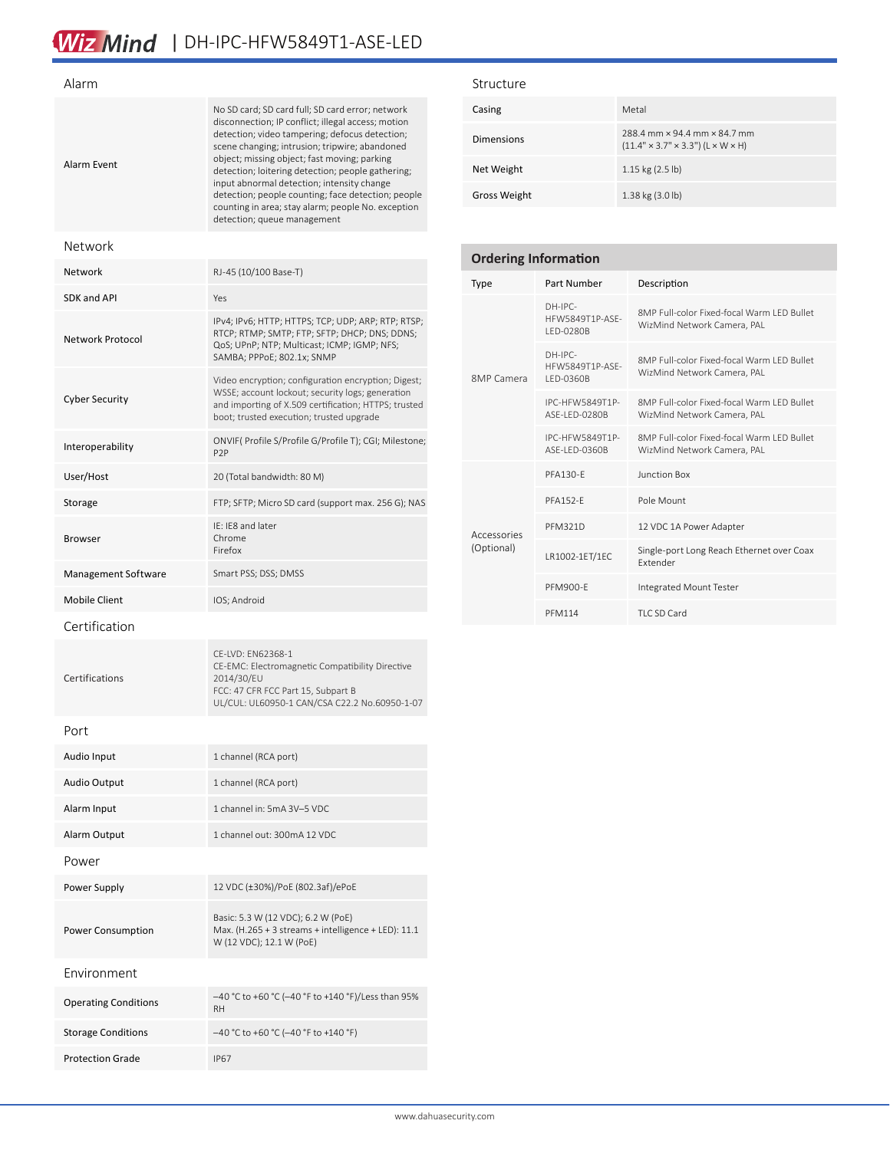# Wiz Mind | DH-IPC-HFW5849T1-ASE-LED

| Alarm                       |                                                                                                                                                                                                                                                                                                                                                                                                                                                                                                          |
|-----------------------------|----------------------------------------------------------------------------------------------------------------------------------------------------------------------------------------------------------------------------------------------------------------------------------------------------------------------------------------------------------------------------------------------------------------------------------------------------------------------------------------------------------|
| Alarm Event                 | No SD card; SD card full; SD card error; network<br>disconnection; IP conflict; illegal access; motion<br>detection; video tampering; defocus detection;<br>scene changing; intrusion; tripwire; abandoned<br>object; missing object; fast moving; parking<br>detection; loitering detection; people gathering;<br>input abnormal detection; intensity change<br>detection; people counting; face detection; people<br>counting in area; stay alarm; people No. exception<br>detection; queue management |
| Network                     |                                                                                                                                                                                                                                                                                                                                                                                                                                                                                                          |
| Network                     | RJ-45 (10/100 Base-T)                                                                                                                                                                                                                                                                                                                                                                                                                                                                                    |
| <b>SDK and API</b>          | Yes                                                                                                                                                                                                                                                                                                                                                                                                                                                                                                      |
| Network Protocol            | IPv4; IPv6; HTTP; HTTPS; TCP; UDP; ARP; RTP; RTSP;<br>RTCP; RTMP; SMTP; FTP; SFTP; DHCP; DNS; DDNS;<br>QoS; UPnP; NTP; Multicast; ICMP; IGMP; NFS;<br>SAMBA; PPPoE; 802.1x; SNMP                                                                                                                                                                                                                                                                                                                         |
| <b>Cyber Security</b>       | Video encryption; configuration encryption; Digest;<br>WSSE; account lockout; security logs; generation<br>and importing of X.509 certification; HTTPS; trusted<br>boot; trusted execution; trusted upgrade                                                                                                                                                                                                                                                                                              |
| Interoperability            | ONVIF( Profile S/Profile G/Profile T); CGI; Milestone;<br>P <sub>2</sub> P                                                                                                                                                                                                                                                                                                                                                                                                                               |
| User/Host                   | 20 (Total bandwidth: 80 M)                                                                                                                                                                                                                                                                                                                                                                                                                                                                               |
| Storage                     | FTP; SFTP; Micro SD card (support max. 256 G); NAS                                                                                                                                                                                                                                                                                                                                                                                                                                                       |
| Browser                     | IE: IE8 and later<br>Chrome<br>Firefox                                                                                                                                                                                                                                                                                                                                                                                                                                                                   |
| Management Software         | Smart PSS; DSS; DMSS                                                                                                                                                                                                                                                                                                                                                                                                                                                                                     |
| <b>Mobile Client</b>        | IOS; Android                                                                                                                                                                                                                                                                                                                                                                                                                                                                                             |
| Certification               |                                                                                                                                                                                                                                                                                                                                                                                                                                                                                                          |
| Certifications              | CE-LVD: EN62368-1<br>CE-EMC: Electromagnetic Compatibility Directive<br>2014/30/EU<br>FCC: 47 CFR FCC Part 15, Subpart B<br>UL/CUL: UL60950-1 CAN/CSA C22.2 No.60950-1-07                                                                                                                                                                                                                                                                                                                                |
| Port                        |                                                                                                                                                                                                                                                                                                                                                                                                                                                                                                          |
| Audio Input                 | 1 channel (RCA port)                                                                                                                                                                                                                                                                                                                                                                                                                                                                                     |
| <b>Audio Output</b>         | 1 channel (RCA port)                                                                                                                                                                                                                                                                                                                                                                                                                                                                                     |
| Alarm Input                 | 1 channel in: 5mA 3V-5 VDC                                                                                                                                                                                                                                                                                                                                                                                                                                                                               |
| Alarm Output                | 1 channel out: 300mA 12 VDC                                                                                                                                                                                                                                                                                                                                                                                                                                                                              |
| Power                       |                                                                                                                                                                                                                                                                                                                                                                                                                                                                                                          |
| Power Supply                | 12 VDC (±30%)/PoE (802.3af)/ePoE                                                                                                                                                                                                                                                                                                                                                                                                                                                                         |
| Power Consumption           | Basic: 5.3 W (12 VDC); 6.2 W (PoE)<br>Max. (H.265 + 3 streams + intelligence + LED): 11.1<br>W (12 VDC); 12.1 W (PoE)                                                                                                                                                                                                                                                                                                                                                                                    |
| Environment                 |                                                                                                                                                                                                                                                                                                                                                                                                                                                                                                          |
| <b>Operating Conditions</b> | -40 °C to +60 °C (-40 °F to +140 °F)/Less than 95%<br>RH.                                                                                                                                                                                                                                                                                                                                                                                                                                                |
| <b>Storage Conditions</b>   | -40 °C to +60 °C (-40 °F to +140 °F)                                                                                                                                                                                                                                                                                                                                                                                                                                                                     |

Protection Grade IP67

### Structure

| Casing              | Metal                                                                         |
|---------------------|-------------------------------------------------------------------------------|
| <b>Dimensions</b>   | 288.4 mm x 94.4 mm x 84.7 mm<br>$(11.4" \times 3.7" \times 3.3")$ (L × W × H) |
| Net Weight          | $1.15$ kg $(2.5$ lb)                                                          |
| <b>Gross Weight</b> | $1.38$ kg $(3.0)$ b)                                                          |

| <b>Ordering Information</b> |                                           |                                                                           |  |  |
|-----------------------------|-------------------------------------------|---------------------------------------------------------------------------|--|--|
| <b>Type</b>                 | Part Number                               | Description                                                               |  |  |
| <b>8MP Camera</b>           | $DH-IPC-$<br>HFW5849T1P-ASF-<br>LED-0280B | 8MP Full-color Fixed-focal Warm LED Bullet<br>WizMind Network Camera, PAL |  |  |
|                             | $DH-IPC-$<br>HFW5849T1P-ASF-<br>LED-0360B | 8MP Full-color Fixed-focal Warm LED Bullet<br>WizMind Network Camera, PAL |  |  |
|                             | IPC-HFW5849T1P-<br><b>ASF-I FD-0280B</b>  | 8MP Full-color Fixed-focal Warm LED Bullet<br>WizMind Network Camera, PAL |  |  |
|                             | IPC-HFW5849T1P-<br>ASF-I FD-0360B         | 8MP Full-color Fixed-focal Warm LED Bullet<br>WizMind Network Camera, PAL |  |  |
| Accessories<br>(Optional)   | PFA130-F                                  | Junction Box                                                              |  |  |
|                             | <b>PFA152-F</b>                           | Pole Mount                                                                |  |  |
|                             | <b>PFM321D</b>                            | 12 VDC 1A Power Adapter                                                   |  |  |
|                             | LR1002-1ET/1EC                            | Single-port Long Reach Ethernet over Coax<br><b>Fxtender</b>              |  |  |
|                             | PFM900-F                                  | Integrated Mount Tester                                                   |  |  |
|                             | <b>PFM114</b>                             | TLC SD Card                                                               |  |  |